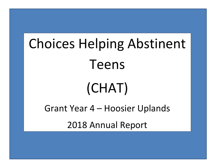## Choices Helping Abstinent Teens (CHAT)

Grant Year 4 – Hoosier Uplands 2018 Annual Report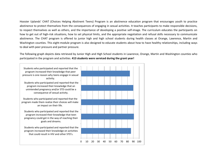Hoosier Uplands' CHAT (Choices Helping Abstinent Teens) Program is an abstinence education program that encourages youth to practice abstinence to protect themselves from the consequences of engaging in sexual activities. It teaches participants to make responsible decisions, to respect themselves as well as others, and the importance of developing a positive self-image. The curriculum educates the participants on how to get out of high-risk situations, how to set physical limits, and the appropriate negotiation and refusal skills necessary to communicate abstinence. The CHAT program is offered to junior high and high school students during health classes at Orange, Lawrence, Martin and Washington counties. This eight-module program is also designed to educate students about how to have healthy relationships, including ways to deal with peer pressure and partner pressure.

The following graph depicts data retrieved by Junior High and High School students in Lawrence, Orange, Martin and Washington counties who participated in the program and activities. **413 students were serviced during the grant year!**